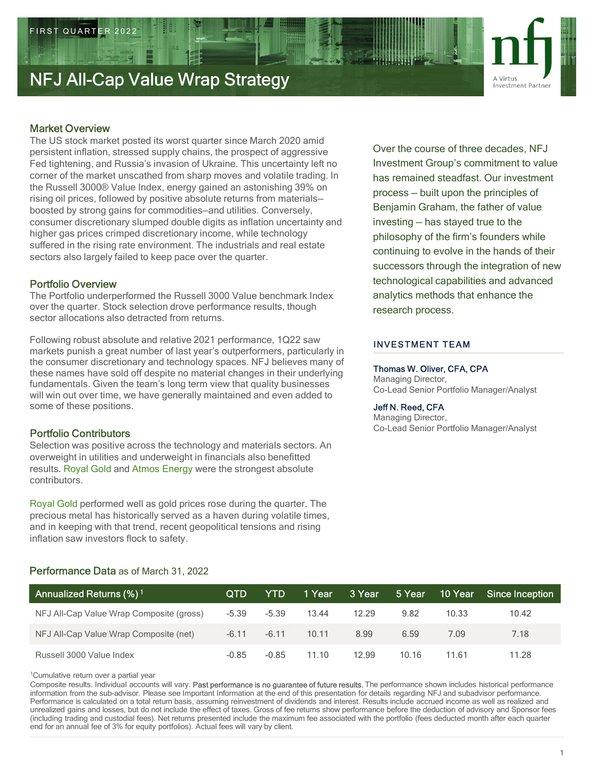# Market Overview

The US stock market posted its worst quarter since March 2020 amid persistent inflation, stressed supply chains, the prospect of aggressive Fed tightening, and Russia's invasion of Ukraine. This uncertainty left no corner of the market unscathed from sharp moves and volatile trading. In the Russell 3000® Value Index, energy gained an astonishing 39% on rising oil prices, followed by positive absolute returns from materials boosted by strong gains for commodities—and utilities. Conversely, consumer discretionary slumped double digits as inflation uncertainty and higher gas prices crimped discretionary income, while technology suffered in the rising rate environment. The industrials and real estate sectors also largely failed to keep pace over the quarter. When the continuity of the continuity of the course of three decades persistent infidion, stressed supply chains, the prospect of agrees strengths in the market uncoment of the market uncoment of the market uncoment of the

# Portfolio Overview

The Portfolio underperformed the Russell 3000 Value benchmark Index over the quarter. Stock selection drove performance results, though sector allocations also detracted from returns.

Following robust absolute and relative 2021 performance, 1Q22 saw markets punish a great number of last year's outperformers, particularly in the consumer discretionary and technology spaces. NFJ believes many of these names have sold off despite no material changes in their underlying will win out over time, we have generally maintained and even added to some of these positions. rising oil recieves followed by positive absolute entrom materials - process - built upon the pinnepipes of<br>boosted by strong gains for commodities-and utilities. Conversely,<br>consumer discretionary slumped double digits as

# Portfolio Contributors

Over the course of three decades, NFJ Investment Group's commitment to value has remained steadfast. Our investment process — built upon the factor of the phands of their<br>process — built upon the principles of<br>process — built upon the principles of<br>process — built upon the principles of<br>process — built upon the principles of<br>process — b Benjamin Graham, the father of value **investment Partner**<br>
November 2021<br>
November Partner<br>
Novestment Partner<br>
Investment Group's commitment to value<br>
has remained steadfast. Our investment<br>
process — built upon the principles of<br>
Benjamin Graham, the father philosophy of the firm's founders while continuing to evolve in the hands of their successors through the integration of new technological capabilities and advanced analytics methods that enhance the research process.

# INVESTMENT TEAM

## Thomas W. Oliver, CFA, CPA

## Jeff N. Reed, CFA

| Following robust absolute and relative 2021 performance, TQ22 saw<br>markets punish a great number of last year's outperformers, particularly in                                                                                                                                                                                                                                                                                                                                                                                                                                                                                                                                                                                                                                                                                                                                                                                                                   |            |            |        |        | <b>INVESTMENT TEAM</b>                                        |                            |                                                                                      |
|--------------------------------------------------------------------------------------------------------------------------------------------------------------------------------------------------------------------------------------------------------------------------------------------------------------------------------------------------------------------------------------------------------------------------------------------------------------------------------------------------------------------------------------------------------------------------------------------------------------------------------------------------------------------------------------------------------------------------------------------------------------------------------------------------------------------------------------------------------------------------------------------------------------------------------------------------------------------|------------|------------|--------|--------|---------------------------------------------------------------|----------------------------|--------------------------------------------------------------------------------------|
| the consumer discretionary and technology spaces. NFJ believes many of<br>these names have sold off despite no material changes in their underlying<br>fundamentals. Given the team's long term view that quality businesses<br>will win out over time, we have generally maintained and even added to<br>some of these positions.<br><b>Portfolio Contributors</b><br>Selection was positive across the technology and materials sectors. An<br>overweight in utilities and underweight in financials also benefitted<br>results. Royal Gold and Atmos Energy were the strongest absolute<br>contributors.<br>Royal Gold performed well as gold prices rose during the quarter. The<br>precious metal has historically served as a haven during volatile times,<br>and in keeping with that trend, recent geopolitical tensions and rising<br>inflation saw investors flock to safety.                                                                            |            |            |        |        | Managing Director,<br>Jeff N. Reed, CFA<br>Managing Director, | Thomas W. Oliver, CFA, CPA | Co-Lead Senior Portfolio Manager/Analyst<br>Co-Lead Senior Portfolio Manager/Analyst |
| Performance Data as of March 31, 2022<br>Annualized Returns (%) <sup>1</sup>                                                                                                                                                                                                                                                                                                                                                                                                                                                                                                                                                                                                                                                                                                                                                                                                                                                                                       | <b>QTD</b> | <b>YTD</b> | 1 Year | 3 Year | 5 Year                                                        | 10 Year                    | <b>Since Inception</b>                                                               |
| NFJ All-Cap Value Wrap Composite (gross)                                                                                                                                                                                                                                                                                                                                                                                                                                                                                                                                                                                                                                                                                                                                                                                                                                                                                                                           | $-5.39$    | $-5.39$    | 13.44  | 12.29  | 9.82                                                          | 10.33                      | 10.42                                                                                |
| NFJ All-Cap Value Wrap Composite (net)                                                                                                                                                                                                                                                                                                                                                                                                                                                                                                                                                                                                                                                                                                                                                                                                                                                                                                                             | $-6.11$    | $-6.11$    | 10.11  | 8.99   | 6.59                                                          | 7.09                       | 7.18                                                                                 |
| Russell 3000 Value Index                                                                                                                                                                                                                                                                                                                                                                                                                                                                                                                                                                                                                                                                                                                                                                                                                                                                                                                                           | $-0.85$    | $-0.85$    | 11.10  | 12.99  | 10.16                                                         | 11.61                      | 11.28                                                                                |
| <sup>1</sup> Cumulative return over a partial year<br>Composite results. Individual accounts will vary. Past performance is no guarantee of future results. The performance shown includes historical performance<br>information from the sub-advisor. Please see Important Information at the end of this presentation for details regarding NFJ and subadvisor performance.<br>Performance is calculated on a total return basis, assuming reinvestment of dividends and interest. Results include accrued income as well as realized and<br>unrealized gains and losses, but do not include the effect of taxes. Gross of fee returns show performance before the deduction of advisory and Sponsor fees<br>(including trading and custodial fees). Net returns presented include the maximum fee associated with the portfolio (fees deducted month after each quarter<br>end for an annual fee of 3% for equity portfolios). Actual fees will vary by client. |            |            |        |        |                                                               |                            |                                                                                      |

# Performance Data as of March 31, 2022

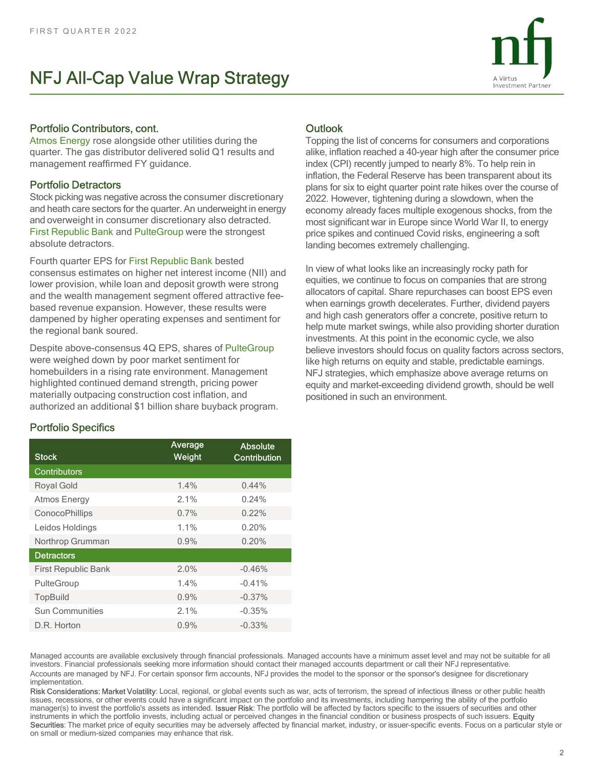

## Portfolio Contributors, cont.

Atmos Energy rose alongside other utilities during the quarter. The gas distributor delivered solid Q1 results and management reaffirmed FY guidance.

# Portfolio Detractors

Stock picking was negative across the consumer discretionary and overweight in consumer discretionary also detracted. First Republic Bank and PulteGroup were the strongest absolute detractors.

# Portfolio Specifics

| First Republic Bank and PulteGroup were the strongest<br>absolute detractors.                                                                                                                                                                                                                                                                                                               |                   |                          | price spikes and continued Covid risks, engineering a soft<br>landing becomes extremely challenging.                                                                                                                                                                                                                                                                                                                                                                                                                                                                                                                                                                                                                                                                                                                                                                                                                                                                                                                                                                                                                                                                                                                                                                                                            |  |
|---------------------------------------------------------------------------------------------------------------------------------------------------------------------------------------------------------------------------------------------------------------------------------------------------------------------------------------------------------------------------------------------|-------------------|--------------------------|-----------------------------------------------------------------------------------------------------------------------------------------------------------------------------------------------------------------------------------------------------------------------------------------------------------------------------------------------------------------------------------------------------------------------------------------------------------------------------------------------------------------------------------------------------------------------------------------------------------------------------------------------------------------------------------------------------------------------------------------------------------------------------------------------------------------------------------------------------------------------------------------------------------------------------------------------------------------------------------------------------------------------------------------------------------------------------------------------------------------------------------------------------------------------------------------------------------------------------------------------------------------------------------------------------------------|--|
| Fourth quarter EPS for First Republic Bank bested<br>consensus estimates on higher net interest income (NII) and<br>lower provision, while loan and deposit growth were strong<br>and the wealth management segment offered attractive fee-<br>based revenue expansion. However, these results were<br>dampened by higher operating expenses and sentiment for<br>the regional bank soured. |                   |                          | In view of what looks like an increasingly rocky path for<br>equities, we continue to focus on companies that are strong<br>allocators of capital. Share repurchases can boost EPS even<br>when earnings growth decelerates. Further, dividend payers<br>and high cash generators offer a concrete, positive return to<br>help mute market swings, while also providing shorter duration<br>investments. At this point in the economic cycle, we also                                                                                                                                                                                                                                                                                                                                                                                                                                                                                                                                                                                                                                                                                                                                                                                                                                                           |  |
| Despite above-consensus 4Q EPS, shares of PulteGroup<br>were weighed down by poor market sentiment for<br>homebuilders in a rising rate environment. Management<br>highlighted continued demand strength, pricing power<br>materially outpacing construction cost inflation, and<br>authorized an additional \$1 billion share buyback program.                                             |                   |                          | believe investors should focus on quality factors across sectors,<br>like high returns on equity and stable, predictable earnings.<br>NFJ strategies, which emphasize above average returns on<br>equity and market-exceeding dividend growth, should be well<br>positioned in such an environment.                                                                                                                                                                                                                                                                                                                                                                                                                                                                                                                                                                                                                                                                                                                                                                                                                                                                                                                                                                                                             |  |
| <b>Portfolio Specifics</b>                                                                                                                                                                                                                                                                                                                                                                  |                   |                          |                                                                                                                                                                                                                                                                                                                                                                                                                                                                                                                                                                                                                                                                                                                                                                                                                                                                                                                                                                                                                                                                                                                                                                                                                                                                                                                 |  |
| <b>Stock</b>                                                                                                                                                                                                                                                                                                                                                                                | Average<br>Weight | Absolute<br>Contribution |                                                                                                                                                                                                                                                                                                                                                                                                                                                                                                                                                                                                                                                                                                                                                                                                                                                                                                                                                                                                                                                                                                                                                                                                                                                                                                                 |  |
| Contributors                                                                                                                                                                                                                                                                                                                                                                                |                   |                          |                                                                                                                                                                                                                                                                                                                                                                                                                                                                                                                                                                                                                                                                                                                                                                                                                                                                                                                                                                                                                                                                                                                                                                                                                                                                                                                 |  |
| Royal Gold                                                                                                                                                                                                                                                                                                                                                                                  | 1.4%              | 0.44%                    |                                                                                                                                                                                                                                                                                                                                                                                                                                                                                                                                                                                                                                                                                                                                                                                                                                                                                                                                                                                                                                                                                                                                                                                                                                                                                                                 |  |
| Atmos Energy                                                                                                                                                                                                                                                                                                                                                                                | 2.1%              | 0.24%                    |                                                                                                                                                                                                                                                                                                                                                                                                                                                                                                                                                                                                                                                                                                                                                                                                                                                                                                                                                                                                                                                                                                                                                                                                                                                                                                                 |  |
| ConocoPhillips                                                                                                                                                                                                                                                                                                                                                                              | 0.7%              | 0.22%                    |                                                                                                                                                                                                                                                                                                                                                                                                                                                                                                                                                                                                                                                                                                                                                                                                                                                                                                                                                                                                                                                                                                                                                                                                                                                                                                                 |  |
| Leidos Holdings                                                                                                                                                                                                                                                                                                                                                                             | 1.1%              | 0.20%                    |                                                                                                                                                                                                                                                                                                                                                                                                                                                                                                                                                                                                                                                                                                                                                                                                                                                                                                                                                                                                                                                                                                                                                                                                                                                                                                                 |  |
| Northrop Grumman                                                                                                                                                                                                                                                                                                                                                                            | 0.9%              | 0.20%                    |                                                                                                                                                                                                                                                                                                                                                                                                                                                                                                                                                                                                                                                                                                                                                                                                                                                                                                                                                                                                                                                                                                                                                                                                                                                                                                                 |  |
| <b>Detractors</b>                                                                                                                                                                                                                                                                                                                                                                           |                   |                          |                                                                                                                                                                                                                                                                                                                                                                                                                                                                                                                                                                                                                                                                                                                                                                                                                                                                                                                                                                                                                                                                                                                                                                                                                                                                                                                 |  |
| First Republic Bank                                                                                                                                                                                                                                                                                                                                                                         | 2.0%              | $-0.46%$                 |                                                                                                                                                                                                                                                                                                                                                                                                                                                                                                                                                                                                                                                                                                                                                                                                                                                                                                                                                                                                                                                                                                                                                                                                                                                                                                                 |  |
| PulteGroup                                                                                                                                                                                                                                                                                                                                                                                  | 1.4%              | $-0.41%$                 |                                                                                                                                                                                                                                                                                                                                                                                                                                                                                                                                                                                                                                                                                                                                                                                                                                                                                                                                                                                                                                                                                                                                                                                                                                                                                                                 |  |
| TopBuild                                                                                                                                                                                                                                                                                                                                                                                    | 0.9%              | $-0.37%$                 |                                                                                                                                                                                                                                                                                                                                                                                                                                                                                                                                                                                                                                                                                                                                                                                                                                                                                                                                                                                                                                                                                                                                                                                                                                                                                                                 |  |
| Sun Communities                                                                                                                                                                                                                                                                                                                                                                             | 2.1%              | $-0.35%$                 |                                                                                                                                                                                                                                                                                                                                                                                                                                                                                                                                                                                                                                                                                                                                                                                                                                                                                                                                                                                                                                                                                                                                                                                                                                                                                                                 |  |
| D.R. Horton                                                                                                                                                                                                                                                                                                                                                                                 | 0.9%              | $-0.33%$                 |                                                                                                                                                                                                                                                                                                                                                                                                                                                                                                                                                                                                                                                                                                                                                                                                                                                                                                                                                                                                                                                                                                                                                                                                                                                                                                                 |  |
| implementation.<br>on small or medium-sized companies may enhance that risk.                                                                                                                                                                                                                                                                                                                |                   |                          | Managed accounts are available exclusively through financial professionals. Managed accounts have a minimum asset level and may not be suitable for all<br>investors. Financial professionals seeking more information should contact their managed accounts department or call their NFJ representative.<br>Accounts are managed by NFJ. For certain sponsor firm accounts, NFJ provides the model to the sponsor or the sponsor's designee for discretionary<br>Risk Considerations: Market Volatility: Local, regional, or global events such as war, acts of terrorism, the spread of infectious illness or other public health<br>issues, recessions, or other events could have a significant impact on the portfolio and its investments, including hampering the ability of the portfolio<br>manager(s) to invest the portfolio's assets as intended. Issuer Risk: The portfolio will be affected by factors specific to the issuers of securities and other<br>instruments in which the portfolio invests, including actual or perceived changes in the financial condition or business prospects of such issuers. Equity<br>Securities: The market price of equity securities may be adversely affected by financial market, industry, or issuer-specific events. Focus on a particular style or<br>2 |  |
|                                                                                                                                                                                                                                                                                                                                                                                             |                   |                          |                                                                                                                                                                                                                                                                                                                                                                                                                                                                                                                                                                                                                                                                                                                                                                                                                                                                                                                                                                                                                                                                                                                                                                                                                                                                                                                 |  |

# **Outlook**

FIRST QUARTER 2022<br> **ANTEL ANTER VAILLE WATED Strategy**<br> **ANTEL ANTERN VAILLE WATED STRATEGY**<br> **ANTERN SERV** (TOP) **CONTIFICATE CONTINUES**<br> **ANTERN SERV** (SPERITE TO THE GUARTERN SURFACE CONTINUES) and the quarter. The gas Topping the list of concerns for consumers and corporations alike, inflation reached a 40-year high after the consumer price index (CPI) recently jumped to nearly 8%. To help rein in inflation, the Federal Reserve has been transparent about its plans for six to eight quarter point rate hikes over the course of 2022. However, tightening during a slowdown, when the economy already faces multiple exogenous shocks, from the most significant war in Europe since World War II, to energy price spikes and continued Covid risks, engineering a soft landing becomes extremely challenging.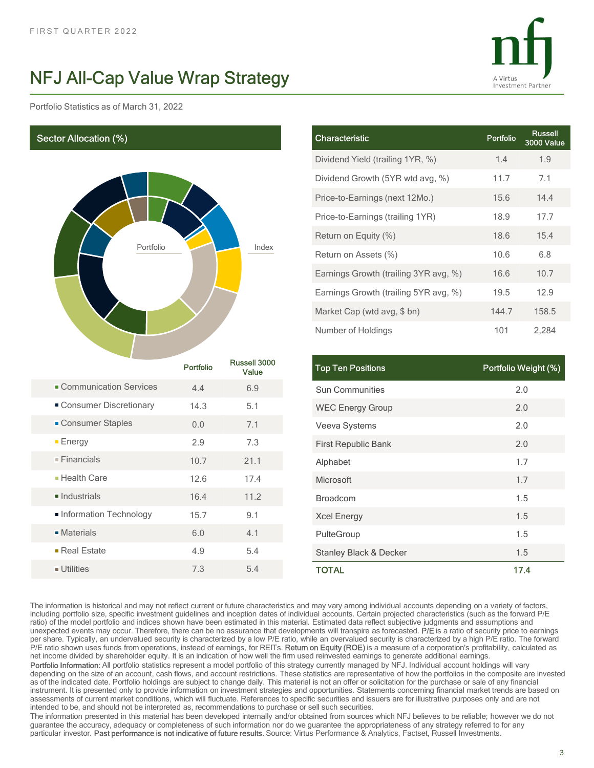Portfolio Statistics as of March 31, 2022

Sector Allocation (%)



|                 |                             |                                       | A Virtus             |                       |
|-----------------|-----------------------------|---------------------------------------|----------------------|-----------------------|
|                 | <b><i>I</i>rap Strategy</b> |                                       | Investment Partner   |                       |
|                 |                             |                                       |                      |                       |
|                 |                             | Characteristic                        | Portfolio            | Russell<br>3000 Value |
|                 |                             | Dividend Yield (trailing 1YR, %)      | 1.4                  | 1.9                   |
|                 |                             | Dividend Growth (5YR wtd avg, %)      | 11.7                 | 7.1                   |
|                 |                             | Price-to-Earnings (next 12Mo.)        | 15.6                 | 14.4                  |
|                 | Index                       | Price-to-Earnings (trailing 1YR)      | 18.9                 | 17.7                  |
|                 |                             | Return on Equity (%)                  | 18.6                 | 15.4                  |
|                 |                             | Return on Assets (%)                  | 10.6                 | 6.8                   |
|                 |                             | Earnings Growth (trailing 3YR avg, %) | 16.6                 | 10.7                  |
|                 |                             | Earnings Growth (trailing 5YR avg, %) | 19.5                 | 12.9                  |
|                 |                             | Market Cap (wtd avg, \$ bn)           | 144.7                | 158.5                 |
|                 |                             | Number of Holdings                    | 101                  | 2,284                 |
|                 | Russell 3000                |                                       |                      |                       |
| ortfolio        | Value                       | Top Ten Positions                     | Portfolio Weight (%) |                       |
| 4.4             | 6.9                         | Sun Communities                       | $2.0\,$              |                       |
| 14.3            | 5.1                         | <b>WEC Energy Group</b>               | $2.0\,$              |                       |
| $0.0\,$         | 7.1                         | Veeva Systems                         | $2.0\,$              |                       |
| $2.9\,$<br>10.7 | $7.3\,$<br>21.1             | First Republic Bank                   | $2.0\,$              |                       |
| 12.6            | 17.4                        | Alphabet<br>Microsoft                 | 1.7<br>1.7           |                       |
|                 |                             |                                       |                      |                       |

|                            | <b>Portfolio</b> | Russell 3000<br>Value | <b>Top Ten Positions</b>  |
|----------------------------|------------------|-----------------------|---------------------------|
| • Communication Services   | 4.4              | 6.9                   | <b>Sun Communities</b>    |
| Consumer Discretionary     | 14.3             | 5.1                   | <b>WEC Energy Grou</b>    |
| • Consumer Staples         | 0.0              | 7.1                   | Veeva Systems             |
| $E$ nergy                  | 2.9              | 7.3                   | <b>First Republic Bar</b> |
| $\blacksquare$ Financials  | 10.7             | 21.1                  | Alphabet                  |
| ■ Health Care              | 12.6             | 17.4                  | Microsoft                 |
| $\blacksquare$ Industrials | 16.4             | 11.2                  | <b>Broadcom</b>           |
| Information Technology     | 15.7             | 9.1                   | <b>Xcel Energy</b>        |
| $\blacksquare$ Materials   | 6.0              | 4.1                   | PulteGroup                |
| $\blacksquare$ Real Estate | 4.9              | 5.4                   | Stanley Black & D         |
| ■ Utilities                | 7.3              | 5.4                   | TOTAL                     |

|          |                       | Price-to-Earnings (next 12Mo.)        | 15.6                 | 14.4  |
|----------|-----------------------|---------------------------------------|----------------------|-------|
|          | Index                 | Price-to-Earnings (trailing 1YR)      | 18.9                 | 17.7  |
|          |                       | Return on Equity (%)                  | 18.6                 | 15.4  |
|          |                       | Return on Assets (%)                  | 10.6                 | 6.8   |
|          |                       | Earnings Growth (trailing 3YR avg, %) | 16.6                 | 10.7  |
|          |                       | Earnings Growth (trailing 5YR avg, %) | 19.5                 | 12.9  |
|          |                       | Market Cap (wtd avg, \$ bn)           | 144.7                | 158.5 |
|          |                       | Number of Holdings                    | 101                  | 2,284 |
|          |                       |                                       |                      |       |
| ortfolio | Russell 3000<br>Value | <b>Top Ten Positions</b>              | Portfolio Weight (%) |       |
| 4.4      | 6.9                   | Sun Communities                       | 2.0                  |       |
| 14.3     | 5.1                   | <b>WEC Energy Group</b>               | 2.0                  |       |
| $0.0\,$  | 7.1                   | Veeva Systems                         | 2.0                  |       |
| 2.9      | 7.3                   | First Republic Bank                   | 2.0                  |       |
| 10.7     | 21.1                  | Alphabet                              |                      | 1.7   |
| 12.6     | 17.4                  | Microsoft                             |                      | 1.7   |
| 16.4     | 11.2                  | Broadcom                              |                      | 1.5   |
| 15.7     | 9.1                   | <b>Xcel Energy</b>                    |                      | 1.5   |
| $6.0\,$  | 4.1                   | PulteGroup                            |                      | 1.5   |
| 4.9      | 5.4                   | <b>Stanley Black &amp; Decker</b>     |                      | 1.5   |
|          | 5.4                   | <b>TOTAL</b>                          |                      | 17.4  |

The information is historical and may not reflect current or future characteristics and may vary among individual accounts depending on a variety of factors, including portfolio size, specific investment guidelines and inception dates of individual accounts. Certain projected characteristics (such as the forward P/E ratio) of the model portfolio and indices shown have been estimated in this material. Estimated data reflect subjective judgments and assumptions and unexpected events may occur. Therefore, there can be no assurance that developments will transpire as forecasted. P/E is a ratio of security price to earnings per share. Typically, an undervalued security is characterized **• Communication Services**<br>
• Consumer Distretionary 14.3 5.1 WEC Energy Group 2.0 2.0<br>
• Consumer Staples 20 7.3 First Republic Bank<br>
• Financials 10.7 7.1 Very Systems 2.0 2.0<br>
• Financials 10.7 21.1 Alphabet 2.1 2.0<br>
• P/E ratio shown uses funds from operations, instead of earnings, for REITs. Return on Equity (ROE) is a measure of a corporation's profitability, calculated as net income divided by shareholder equity. It is an indication of how well the firm used reinvested earnings to generate additional earnings. • Consumer Staples<br>
• Energy 2.9 7.3 First Republic Bank<br>
• Financials 10.7 2.1.1 Alphabet 2.0 17.7 2.1.1 Alphabet 2.0 17.2 alphabet 2.2.0<br>
• Hold Statistics 12.6 17.4 Microsoft<br>
• Individual Statistics 16.4 11.2 Sole De depending on the size of an account, cash flows, and account restrictions. These statistics are representative of how the portfolios in the composite are invested as of the indicated date. Portfolio holdings are subject to **Example 19**<br> **as of the indicated date.** Portfolio holdings are subject to change date. Portfolio holding are subject to change or the individual is not any financial is not any financial is not any financial is not any instrument. It is presented only to provide information on investment strategies and opportunities. Statements concerning financial market trends are based on assessments of current market conditions, which will fluctuate. References to specific securities and issuers are for illustrative purposes only and are not intended to be, and should not be interpreted as, recommendations to purchase or sell such securities. The information presented in this material has been developed internally and/or obtained from sources which NFJ believes to be reliable; however we do not

guarantee the accuracy, adequacy or completeness of such information nor do we guarantee the appropriateness of any strategy referred to for any particular investor. Past performance is not indicative of future results. Source: Virtus Performance & Analytics, Factset, Russell Investments.

3